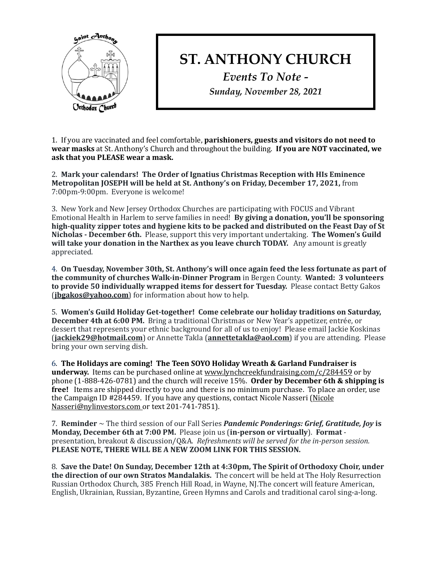

## **ST. ANTHONY CHURCH**

*Events To Note - Sunday, November 28, 2021*

1. If you are vaccinated and feel comfortable, **parishioners, guests and visitors do not need to wear masks** at St. Anthony's Church and throughout the building. **If you are NOT vaccinated, we** ask that you PLEASE wear a mask.

2. Mark your calendars! The Order of Ignatius Christmas Reception with HIs Eminence **Metropolitan JOSEPH will be held at St. Anthony's on Friday, December 17, 2021, from** 7:00pm-9:00pm. Everyone is welcome!

3. New York and New Jersey Orthodox Churches are participating with FOCUS and Vibrant Emotional Health in Harlem to serve families in need! By giving a donation, you'll be sponsoring high-quality zipper totes and hygiene kits to be packed and distributed on the Feast Day of St **Nicholas - December 6th.** Please, support this very important undertaking. The Women's Guild **will take your donation in the Narthex as you leave church TODAY.** Any amount is greatly appreciated. 

4. On Tuesday, November 30th, St. Anthony's will once again feed the less fortunate as part of **the community of churches Walk-in-Dinner Program** in Bergen County. Wanted: 3 volunteers **to provide 50 individually wrapped items for dessert for Tuesday.** Please contact Betty Gakos (**[jbgakos@yahoo.com](mailto:jbgakos@yahoo.com)**) for information about how to help.

5. Women's Guild Holiday Get-together! Come celebrate our holiday traditions on Saturday, **December 4th at 6:00 PM.** Bring a traditional Christmas or New Year's appetizer, entrée, or dessert that represents your ethnic background for all of us to enjoy! Please email Jackie Koskinas **([jackiek29@hotmail.com](mailto:jackiek29@hotmail.com))** or Annette Takla (**[annettetakla@aol.com](mailto:annettetakla@aol.com)**) if you are attending. Please bring your own serving dish.

6. The Holidays are coming! The Teen SOYO Holiday Wreath & Garland Fundraiser is **underway.** Items can be purchased online at www.lynchcreekfundraising.com/c/284459 or by phone (1-888-426-0781) and the church will receive 15%. Order by December 6th & shipping is free! Items are shipped directly to you and there is no minimum purchase. To place an order, use the Campaign ID #284459. If you have any questions, contact Nicole Nasseri (Nicole Nasseri@nylinvestors.com or text 201-741-7851).

7. **Reminder**  $\sim$  The third session of our Fall Series *Pandemic Ponderings: Grief, Gratitude, Joy* is **Monday, December 6th at 7:00 PM.** Please join us (in-person or virtually). Format presentation, breakout & discussion/Q&A. Refreshments will be served for the in-person session. PLEASE NOTE, THERE WILL BE A NEW ZOOM LINK FOR THIS SESSION.

8. Save the Date! On Sunday, December 12th at 4:30pm, The Spirit of Orthodoxy Choir, under **the direction of our own Stratos Mandalakis.** The concert will be held at The Holy Resurrection Russian Orthodox Church, 385 French Hill Road, in Wayne, NJ.The concert will feature American, English, Ukrainian, Russian, Byzantine, Green Hymns and Carols and traditional carol sing-a-long.